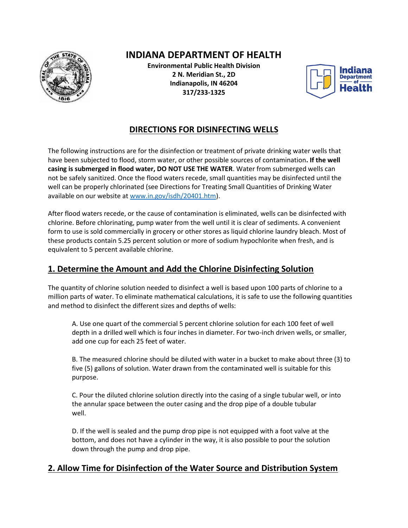

# **INDIANA DEPARTMENT OF HEALTH**

**Environmental Public Health Division 2 N. Meridian St., 2D Indianapolis, IN 46204 317/233-1325**



## **DIRECTIONS FOR DISINFECTING WELLS**

The following instructions are for the disinfection or treatment of private drinking water wells that have been subjected to flood, storm water, or other possible sources of contamination**. If the well casing is submerged in flood water, DO NOT USE THE WATER**. Water from submerged wells can not be safely sanitized. Once the flood waters recede, small quantities may be disinfected until the well can be properly chlorinated (see Directions for Treating Small Quantities of Drinking Water available on our website at [www.in.gov/isdh/20401.htm\)](http://www.in.gov/isdh/20401.htm).

After flood waters recede, or the cause of contamination is eliminated, wells can be disinfected with chlorine. Before chlorinating, pump water from the well until it is clear of sediments. A convenient form to use is sold commercially in grocery or other stores as liquid chlorine laundry bleach. Most of these products contain 5.25 percent solution or more of sodium hypochlorite when fresh, and is equivalent to 5 percent available chlorine.

### **1. Determine the Amount and Add the Chlorine Disinfecting Solution**

The quantity of chlorine solution needed to disinfect a well is based upon 100 parts of chlorine to a million parts of water. To eliminate mathematical calculations, it is safe to use the following quantities and method to disinfect the different sizes and depths of wells:

A. Use one quart of the commercial 5 percent chlorine solution for each 100 feet of well depth in a drilled well which is four inches in diameter. For two-inch driven wells, or smaller, add one cup for each 25 feet of water.

B. The measured chlorine should be diluted with water in a bucket to make about three (3) to five (5) gallons of solution. Water drawn from the contaminated well is suitable for this purpose.

C. Pour the diluted chlorine solution directly into the casing of a single tubular well, or into the annular space between the outer casing and the drop pipe of a double tubular well.

D. If the well is sealed and the pump drop pipe is not equipped with a foot valve at the bottom, and does not have a cylinder in the way, it is also possible to pour the solution down through the pump and drop pipe.

#### **2. Allow Time for Disinfection of the Water Source and Distribution System**